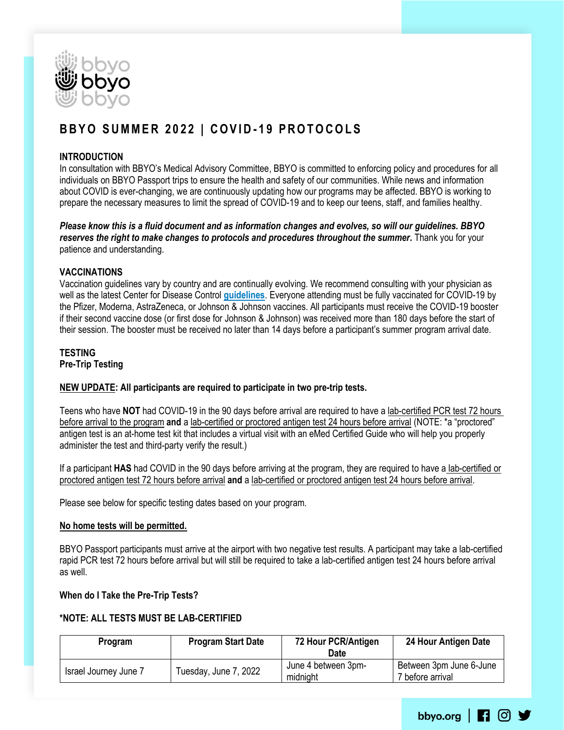

# **B B Y O S U M M E R 2 0 2 2 | C O V I D - 1 9 P R O T O C O L S**

## **INTRODUCTION**

In consultation with BBYO's Medical Advisory Committee, BBYO is committed to enforcing policy and procedures for all individuals on BBYO Passport trips to ensure the health and safety of our communities. While news and information about COVID is ever-changing, we are continuously updating how our programs may be affected. BBYO is working to prepare the necessary measures to limit the spread of COVID-19 and to keep our teens, staff, and families healthy.

*Please know this is a fluid document and as information changes and evolves, so will our guidelines. BBYO reserves the right to make changes to protocols and procedures throughout the summer***.** Thank you for your patience and understanding.

## **VACCINATIONS**

Vaccination guidelines vary by country and are continually evolving. We recommend consulting with your physician as well as the latest Center for Disease Control **[guidelines](http://wwwnc.cdc.gov/travel/destinations/list)**. Everyone attending must be fully vaccinated for COVID-19 by the Pfizer, Moderna, AstraZeneca, or Johnson & Johnson vaccines. All participants must receive the COVID-19 booster if their second vaccine dose (or first dose for Johnson & Johnson) was received more than 180 days before the start of their session. The booster must be received no later than 14 days before a participant's summer program arrival date.

# **TESTING Pre-Trip Testing**

# **NEW UPDATE: All participants are required to participate in two pre-trip tests.**

Teens who have **NOT** had COVID-19 in the 90 days before arrival are required to have a lab-certified PCR test 72 hours before arrival to the program **and** a lab-certified or proctored antigen test 24 hours before arrival (NOTE: \*a "proctored" antigen test is an at-home test kit that includes a virtual visit with an eMed Certified Guide who will help you properly administer the test and third-party verify the result.)

If a participant **HAS** had COVID in the 90 days before arriving at the program, they are required to have a lab-certified or proctored antigen test 72 hours before arrival **and** a lab-certified or proctored antigen test 24 hours before arrival.

Please see below for specific testing dates based on your program.

#### **No home tests will be permitted.**

BBYO Passport participants must arrive at the airport with two negative test results. A participant may take a lab-certified rapid PCR test 72 hours before arrival but will still be required to take a lab-certified antigen test 24 hours before arrival as well.

#### **When do I Take the Pre-Trip Tests?**

#### **\*NOTE: ALL TESTS MUST BE LAB-CERTIFIED**

| <b>Program</b>        | <b>Program Start Date</b> | 72 Hour PCR/Antigen<br>Date     | 24 Hour Antigen Date                        |
|-----------------------|---------------------------|---------------------------------|---------------------------------------------|
| Israel Journey June 7 | Tuesday, June 7, 2022     | June 4 between 3pm-<br>midnight | Between 3pm June 6-June<br>7 before arrival |

bbyo.org  $\boxed{1}$  0  $\boxed{9}$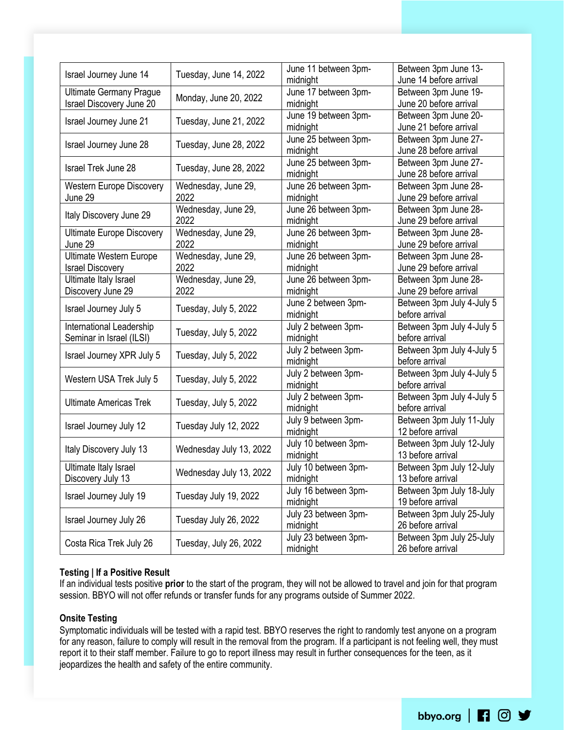| Israel Journey June 14           |                                                                                                                                                                                                                                                                                                                                                                                                                                                                                                                                                                   |                                                                                                                                                                                                                                                                                                                                                                                                                                                                                                                                                                                                                                                                                        | Between 3pm June 13-      |
|----------------------------------|-------------------------------------------------------------------------------------------------------------------------------------------------------------------------------------------------------------------------------------------------------------------------------------------------------------------------------------------------------------------------------------------------------------------------------------------------------------------------------------------------------------------------------------------------------------------|----------------------------------------------------------------------------------------------------------------------------------------------------------------------------------------------------------------------------------------------------------------------------------------------------------------------------------------------------------------------------------------------------------------------------------------------------------------------------------------------------------------------------------------------------------------------------------------------------------------------------------------------------------------------------------------|---------------------------|
|                                  |                                                                                                                                                                                                                                                                                                                                                                                                                                                                                                                                                                   | June 11 between 3pm-<br>midnight<br>June 17 between 3pm-<br>midnight<br>June 19 between 3pm-<br>midnight<br>June 25 between 3pm-<br>midnight<br>June 25 between 3pm-<br>midnight<br>June 26 between 3pm-<br>midnight<br>June 26 between 3pm-<br>midnight<br>June 26 between 3pm-<br>midnight<br>June 26 between 3pm-<br>midnight<br>June 26 between 3pm-<br>midnight<br>June 2 between 3pm-<br>midnight<br>July 2 between 3pm-<br>midnight<br>July 2 between 3pm-<br>midnight<br>July 2 between 3pm-<br>midnight<br>July 2 between 3pm-<br>midnight<br>July 9 between 3pm-<br>midnight<br>July 10 between 3pm-<br>midnight<br>July 10 between 3pm-<br>midnight<br>July 16 between 3pm- | June 14 before arrival    |
| <b>Ultimate Germany Prague</b>   |                                                                                                                                                                                                                                                                                                                                                                                                                                                                                                                                                                   |                                                                                                                                                                                                                                                                                                                                                                                                                                                                                                                                                                                                                                                                                        | Between 3pm June 19-      |
| Israel Discovery June 20         |                                                                                                                                                                                                                                                                                                                                                                                                                                                                                                                                                                   |                                                                                                                                                                                                                                                                                                                                                                                                                                                                                                                                                                                                                                                                                        | June 20 before arrival    |
| Israel Journey June 21           | Tuesday, June 14, 2022<br>Monday, June 20, 2022<br>Tuesday, June 21, 2022<br>Tuesday, June 28, 2022<br>Tuesday, June 28, 2022<br>Wednesday, June 29,<br>2022<br>Wednesday, June 29,<br>2022<br>Wednesday, June 29,<br>2022<br>Wednesday, June 29,<br>2022<br>Wednesday, June 29,<br>2022<br>Tuesday, July 5, 2022<br>Tuesday, July 5, 2022<br>Tuesday, July 5, 2022<br>Tuesday, July 5, 2022<br>Tuesday, July 5, 2022<br>Tuesday July 12, 2022<br>Wednesday July 13, 2022<br>Wednesday July 13, 2022<br>Tuesday July 19, 2022<br>midnight<br>July 23 between 3pm- | Between 3pm June 20-                                                                                                                                                                                                                                                                                                                                                                                                                                                                                                                                                                                                                                                                   |                           |
|                                  |                                                                                                                                                                                                                                                                                                                                                                                                                                                                                                                                                                   |                                                                                                                                                                                                                                                                                                                                                                                                                                                                                                                                                                                                                                                                                        | June 21 before arrival    |
| Israel Journey June 28           |                                                                                                                                                                                                                                                                                                                                                                                                                                                                                                                                                                   |                                                                                                                                                                                                                                                                                                                                                                                                                                                                                                                                                                                                                                                                                        | Between 3pm June 27-      |
|                                  |                                                                                                                                                                                                                                                                                                                                                                                                                                                                                                                                                                   |                                                                                                                                                                                                                                                                                                                                                                                                                                                                                                                                                                                                                                                                                        | June 28 before arrival    |
| <b>Israel Trek June 28</b>       |                                                                                                                                                                                                                                                                                                                                                                                                                                                                                                                                                                   |                                                                                                                                                                                                                                                                                                                                                                                                                                                                                                                                                                                                                                                                                        | Between 3pm June 27-      |
|                                  |                                                                                                                                                                                                                                                                                                                                                                                                                                                                                                                                                                   |                                                                                                                                                                                                                                                                                                                                                                                                                                                                                                                                                                                                                                                                                        | June 28 before arrival    |
| <b>Western Europe Discovery</b>  |                                                                                                                                                                                                                                                                                                                                                                                                                                                                                                                                                                   |                                                                                                                                                                                                                                                                                                                                                                                                                                                                                                                                                                                                                                                                                        | Between 3pm June 28-      |
| June 29                          |                                                                                                                                                                                                                                                                                                                                                                                                                                                                                                                                                                   |                                                                                                                                                                                                                                                                                                                                                                                                                                                                                                                                                                                                                                                                                        | June 29 before arrival    |
|                                  |                                                                                                                                                                                                                                                                                                                                                                                                                                                                                                                                                                   | midnight                                                                                                                                                                                                                                                                                                                                                                                                                                                                                                                                                                                                                                                                               | Between 3pm June 28-      |
| Italy Discovery June 29          |                                                                                                                                                                                                                                                                                                                                                                                                                                                                                                                                                                   |                                                                                                                                                                                                                                                                                                                                                                                                                                                                                                                                                                                                                                                                                        | June 29 before arrival    |
| <b>Ultimate Europe Discovery</b> |                                                                                                                                                                                                                                                                                                                                                                                                                                                                                                                                                                   |                                                                                                                                                                                                                                                                                                                                                                                                                                                                                                                                                                                                                                                                                        | Between 3pm June 28-      |
| June 29                          |                                                                                                                                                                                                                                                                                                                                                                                                                                                                                                                                                                   |                                                                                                                                                                                                                                                                                                                                                                                                                                                                                                                                                                                                                                                                                        | June 29 before arrival    |
| <b>Ultimate Western Europe</b>   |                                                                                                                                                                                                                                                                                                                                                                                                                                                                                                                                                                   |                                                                                                                                                                                                                                                                                                                                                                                                                                                                                                                                                                                                                                                                                        | Between 3pm June 28-      |
| <b>Israel Discovery</b>          |                                                                                                                                                                                                                                                                                                                                                                                                                                                                                                                                                                   |                                                                                                                                                                                                                                                                                                                                                                                                                                                                                                                                                                                                                                                                                        | June 29 before arrival    |
| Ultimate Italy Israel            |                                                                                                                                                                                                                                                                                                                                                                                                                                                                                                                                                                   |                                                                                                                                                                                                                                                                                                                                                                                                                                                                                                                                                                                                                                                                                        | Between 3pm June 28-      |
| Discovery June 29                |                                                                                                                                                                                                                                                                                                                                                                                                                                                                                                                                                                   |                                                                                                                                                                                                                                                                                                                                                                                                                                                                                                                                                                                                                                                                                        | June 29 before arrival    |
|                                  |                                                                                                                                                                                                                                                                                                                                                                                                                                                                                                                                                                   |                                                                                                                                                                                                                                                                                                                                                                                                                                                                                                                                                                                                                                                                                        | Between 3pm July 4-July 5 |
| Israel Journey July 5            |                                                                                                                                                                                                                                                                                                                                                                                                                                                                                                                                                                   |                                                                                                                                                                                                                                                                                                                                                                                                                                                                                                                                                                                                                                                                                        | before arrival            |
| International Leadership         |                                                                                                                                                                                                                                                                                                                                                                                                                                                                                                                                                                   |                                                                                                                                                                                                                                                                                                                                                                                                                                                                                                                                                                                                                                                                                        | Between 3pm July 4-July 5 |
| Seminar in Israel (ILSI)         |                                                                                                                                                                                                                                                                                                                                                                                                                                                                                                                                                                   |                                                                                                                                                                                                                                                                                                                                                                                                                                                                                                                                                                                                                                                                                        | before arrival            |
|                                  | Tuesday July 26, 2022<br>Tuesday, July 26, 2022                                                                                                                                                                                                                                                                                                                                                                                                                                                                                                                   |                                                                                                                                                                                                                                                                                                                                                                                                                                                                                                                                                                                                                                                                                        | Between 3pm July 4-July 5 |
| Israel Journey XPR July 5        |                                                                                                                                                                                                                                                                                                                                                                                                                                                                                                                                                                   |                                                                                                                                                                                                                                                                                                                                                                                                                                                                                                                                                                                                                                                                                        | before arrival            |
|                                  |                                                                                                                                                                                                                                                                                                                                                                                                                                                                                                                                                                   | July 23 between 3pm-<br>midnight                                                                                                                                                                                                                                                                                                                                                                                                                                                                                                                                                                                                                                                       | Between 3pm July 4-July 5 |
| Western USA Trek July 5          |                                                                                                                                                                                                                                                                                                                                                                                                                                                                                                                                                                   |                                                                                                                                                                                                                                                                                                                                                                                                                                                                                                                                                                                                                                                                                        | before arrival            |
|                                  |                                                                                                                                                                                                                                                                                                                                                                                                                                                                                                                                                                   |                                                                                                                                                                                                                                                                                                                                                                                                                                                                                                                                                                                                                                                                                        | Between 3pm July 4-July 5 |
| <b>Ultimate Americas Trek</b>    |                                                                                                                                                                                                                                                                                                                                                                                                                                                                                                                                                                   | before arrival                                                                                                                                                                                                                                                                                                                                                                                                                                                                                                                                                                                                                                                                         |                           |
|                                  |                                                                                                                                                                                                                                                                                                                                                                                                                                                                                                                                                                   | Between 3pm July 11-July                                                                                                                                                                                                                                                                                                                                                                                                                                                                                                                                                                                                                                                               |                           |
| Israel Journey July 12           |                                                                                                                                                                                                                                                                                                                                                                                                                                                                                                                                                                   |                                                                                                                                                                                                                                                                                                                                                                                                                                                                                                                                                                                                                                                                                        | 12 before arrival         |
|                                  |                                                                                                                                                                                                                                                                                                                                                                                                                                                                                                                                                                   |                                                                                                                                                                                                                                                                                                                                                                                                                                                                                                                                                                                                                                                                                        | Between 3pm July 12-July  |
| Italy Discovery July 13          |                                                                                                                                                                                                                                                                                                                                                                                                                                                                                                                                                                   |                                                                                                                                                                                                                                                                                                                                                                                                                                                                                                                                                                                                                                                                                        | 13 before arrival         |
| Ultimate Italy Israel            |                                                                                                                                                                                                                                                                                                                                                                                                                                                                                                                                                                   |                                                                                                                                                                                                                                                                                                                                                                                                                                                                                                                                                                                                                                                                                        | Between 3pm July 12-July  |
| Discovery July 13                |                                                                                                                                                                                                                                                                                                                                                                                                                                                                                                                                                                   |                                                                                                                                                                                                                                                                                                                                                                                                                                                                                                                                                                                                                                                                                        | 13 before arrival         |
|                                  |                                                                                                                                                                                                                                                                                                                                                                                                                                                                                                                                                                   |                                                                                                                                                                                                                                                                                                                                                                                                                                                                                                                                                                                                                                                                                        | Between 3pm July 18-July  |
| Israel Journey July 19           |                                                                                                                                                                                                                                                                                                                                                                                                                                                                                                                                                                   |                                                                                                                                                                                                                                                                                                                                                                                                                                                                                                                                                                                                                                                                                        | 19 before arrival         |
|                                  |                                                                                                                                                                                                                                                                                                                                                                                                                                                                                                                                                                   |                                                                                                                                                                                                                                                                                                                                                                                                                                                                                                                                                                                                                                                                                        | Between 3pm July 25-July  |
| Israel Journey July 26           |                                                                                                                                                                                                                                                                                                                                                                                                                                                                                                                                                                   |                                                                                                                                                                                                                                                                                                                                                                                                                                                                                                                                                                                                                                                                                        | 26 before arrival         |
|                                  |                                                                                                                                                                                                                                                                                                                                                                                                                                                                                                                                                                   |                                                                                                                                                                                                                                                                                                                                                                                                                                                                                                                                                                                                                                                                                        | Between 3pm July 25-July  |
| Costa Rica Trek July 26          |                                                                                                                                                                                                                                                                                                                                                                                                                                                                                                                                                                   |                                                                                                                                                                                                                                                                                                                                                                                                                                                                                                                                                                                                                                                                                        | 26 before arrival         |

# **Testing | If a Positive Result**

If an individual tests positive **prior** to the start of the program, they will not be allowed to travel and join for that program session. BBYO will not offer refunds or transfer funds for any programs outside of Summer 2022.

#### **Onsite Testing**

Symptomatic individuals will be tested with a rapid test. BBYO reserves the right to randomly test anyone on a program for any reason, failure to comply will result in the removal from the program. If a participant is not feeling well, they must report it to their staff member. Failure to go to report illness may result in further consequences for the teen, as it jeopardizes the health and safety of the entire community.

bbyo.org | 1 © y